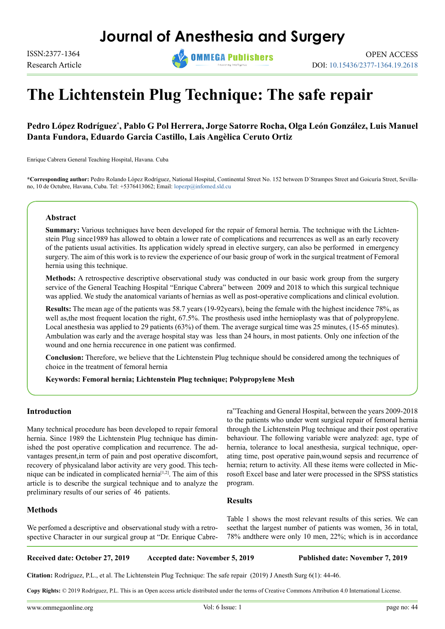## **Journal of Anesthesia and Surgery**

Research Article



DOI: 10.15436/2377-1364.19.2618

# **The Lichtenstein Plug Technique: The safe repair**

## **Pedro López Rodríguez\* , Pablo G Pol Herrera, Jorge Satorre Rocha, Olga León González, Luis Manuel Danta Fundora, Eduardo Garcia Castillo, Lais Angèlica Ceruto Ortiz**

Enrique Cabrera General Teaching Hospital, Havana. Cuba

**\*Corresponding author:** Pedro Rolando López Rodríguez, National Hospital, Continental Street No. 152 between D´Strampes Street and Goicuría Street, Sevillano, 10 de Octubre, Havana, Cuba. Tel: +5376413062; Email: [lopezp@infomed.sld.cu](mailto:lopezp%40infomed.sld.cu?subject=)

#### **Abstract**

**Summary:** Various techniques have been developed for the repair of femoral hernia. The technique with the Lichtenstein Plug since1989 has allowed to obtain a lower rate of complications and recurrences as well as an early recovery of the patients usual activities. Its application widely spread in elective surgery, can also be performed in emergency surgery. The aim of this work is to review the experience of our basic group of work in the surgical treatment of Femoral hernia using this technique.

**Methods:** A retrospective descriptive observational study was conducted in our basic work group from the surgery service of the General Teaching Hospital "Enrique Cabrera" between 2009 and 2018 to which this surgical technique was applied. We study the anatomical variants of hernias as well as post-operative complications and clinical evolution.

**Results:** The mean age of the patients was 58.7 years (19-92years), being the female with the highest incidence 78%, as well as, the most frequent location the right, 67.5%. The prosthesis used inthe hernioplasty was that of polypropylene. Local anesthesia was applied to 29 patients (63%) of them. The average surgical time was 25 minutes, (15-65 minutes). Ambulation was early and the average hospital stay was less than 24 hours, in most patients. Only one infection of the wound and one hernia reccurence in one patient was confirmed.

**Conclusion:** Therefore, we believe that the Lichtenstein Plug technique should be considered among the techniques of choice in the treatment of femoral hernia

**Keywords: Femoral hernia; Lichtenstein Plug technique; Polypropylene Mesh**

#### **Introduction**

Many technical procedure has been developed to repair femoral hernia. Since 1989 the Lichtenstein Plug technique has diminished the post operative complication and recurrence. The advantages present,in term of pain and post operative discomfort, recovery of physicaland labor activity are very good. This technique can be indicated in complicated hernia[\[1,2\].](#page-2-0) The aim of this article is to describe the surgical technique and to analyze the preliminary results of our series of 46 patients.

#### **Methods**

We perfomed a descriptive and observational study with a retrospective Character in our surgical group at "Dr. Enrique Cabrera"Teaching and General Hospital, between the years 2009-2018 to the patients who under went surgical repair of femoral hernia through the Lichtenstein Plug technique and their post operative behaviour. The following variable were analyzed: age, type of hernia, tolerance to local anesthesia, surgical technique, operating time, post operative pain,wound sepsis and recurrence of hernia; return to activity. All these ítems were collected in Microsoft Excel base and later were processed in the SPSS statistics program.

#### **Results**

Table 1 shows the most relevant results of this series. We can seethat the largest number of patients was women, 36 in total, 78% andthere were only 10 men, 22%; which is in accordance

#### **Received date: October 27, 2019 Accepted date: November 5, 2019 Published date: November 7, 2019**

**Citation:** Rodríguez, P.L., et al. The Lichtenstein Plug Technique: The safe repair (2019) J Anesth Surg 6(1): 44-46.

**Copy Rights:** © 2019 Rodríguez, P.L. This is an Open access article distributed under the terms of Creative Commons Attribution 4.0 International License.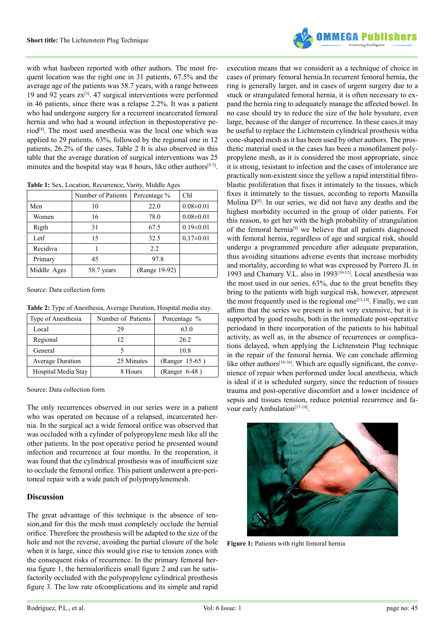

with what hasbeen reported with other authors. The most frequent location was the right one in 31 patients, 67.5% and the average age of the patients was 58.7 years, with a range between 19 and 92 years  $z\bar{x}^{[3]}$ . 47 surgical interventions were performed in 46 patients, since there was a relapse 2.2%. It was a patient who had undergone surgery for a recurrent incarcerated femoral hernia and who had a wound infection in thepostoperative perio[d\[4\].](#page-2-2) The most used anesthesia was the local one which was applied to 29 patients. 63%, followed by the regional one in 12 patients, 26.2% of the cases, Table 2 It is also observed in this table that the average duration of surgical interventions was 25 minutes and the hospital stay was 8 hours, like other authors $[5-7]$ .

**Table 1:** Sex, Location, Recurrence, Varity, Middle Ages

|             | Number of Patients | Percentage %  | Ch1             |
|-------------|--------------------|---------------|-----------------|
| Men         | 10                 | 22.0          | $0.08 \pm 0.01$ |
| Women       | 16                 | 78.0          | $0.08 \pm 0.01$ |
| Rigth       | 31                 | 67.5          | $0.19 \pm 0.01$ |
| Letf        | 15                 | 32.5          | $0,17\pm0.01$   |
| Recidiva    |                    | 2.2           |                 |
| Primary     | 45                 | 97.8          |                 |
| Middle Ages | 58.7 years         | (Range 19-92) |                 |

Source: Data collection form

**Table 2:** Type of Anesthesia, Average Duration, Hospital media stay.

| Type of Anesthesia      | Number of Patients | Porcentage %    |  |
|-------------------------|--------------------|-----------------|--|
| Local                   | 29                 | 63.0            |  |
| Regional                | 12                 | 26.2            |  |
| General                 |                    | 10.8            |  |
| <b>Average Duration</b> | 25 Minutes         | (Ranger 15-65)  |  |
| Hospital Media Stay     | 8 Hours            | $(Ranger 6-48)$ |  |

Source: Data collection form

The only recurrences observed in our series were in a patient who was operated on because of a relapsed, incarcerated hernia. In the surgical act a wide femoral orifice was observed that was occluded with a cylinder of polypropylene mesh like all the other patients. In the post operative period he presented wound infection and recurrence at four months. In the reoperation, it was found that the cylindrical prosthesis was of insufficient size to occlude the femoral orifice. This patient underwent a pre-peritoneal repair with a wide patch of polypropylenemesh.

#### **Discussion**

The great advantage of this technique is the absence of tension,and for this the mesh must completely occlude the hernial orifice. Therefore the prosthesis will be adapted to the size of the hole and not the reverse, avoiding the partial closure of the hole when it is large, since this would give rise to tension zones with the consequent risks of recurrence. In the primary femoral hernia figure 1, the hernialorificeis small figure 2 and can be satisfactorily occluded with the polypropylene cylindrical prosthesis figure 3. The low rate ofcomplications and its simple and rapid

execution means that we considerit as a technique of choice in cases of primary femoral hernia.In recurrent femoral hernia, the ring is generally larger, and in cases of urgent surgery due to a stuck or strangulated femoral hernia, it is often necessary to expand the hernia ring to adequately manage the affected bowel. In no case should try to reduce the size of the hole bysuture, even large, because of the danger of recurrence. In these cases,it may be useful to replace the Lichtenstein cylindrical prosthesis witha cone-shaped mesh as it has been used by other authors. The prosthetic material used in the cases has been a monofilament polypropylene mesh, as it is considered the most appropriate, since it is strong, resistant to infection and the cases of intolerance are practically non-existent since the yellow a rapid interstitial fibroblastic proliferation that fixes it intimately to the tissues, which fixes it intimately to the tissues, according to reports Mansilla Molina  $D^{[8]}$ . In our series, we did not have any deaths and the highest morbidity occurred in the group of older patients. For this reason, to get her with the high probability of strangulation of the femoral hernia<sup>[9]</sup> we believe that all patients diagnosed with femoral hernia, regardless of age and surgical risk, should undergo a programmed procedure after adequate preparation, thus avoiding situations adverse events that increase morbidity and mortality, according to what was expressed by Porrero JL in 1993 and Chamary V.L. also in 1993[\[10-12\]](#page-2-6). Local anesthesia was the most used in our series, 63%, due to the great benefits they bring to the patients with high surgical risk, however, atpresent the most frequently used is the regional one<sup>[13,14]</sup>. Finally, we can affirm that the series we present is not very extensive, but it is supported by good results, both in the immediate post-operative periodand in there incorporation of the patients to his habitual activity, as well as, in the absence of recurrences or complications delayed, when applying the Lichtenstein Plug technique in the repair of the femoral hernia. We can conclude affirming like other authors<sup>[14-16]</sup>. Which are equally significant, the convenience of repair when performed under local anesthesia, which is ideal if it is scheduled surgery, since the reduction of tissues trauma and post-operative discomfort and a lower incidence of sepsis and tissues tension, reduce potential recurrence and favour early Ambulation<sup>[17-19]</sup>.



**Figure 1:** Patients with right femoral hernia